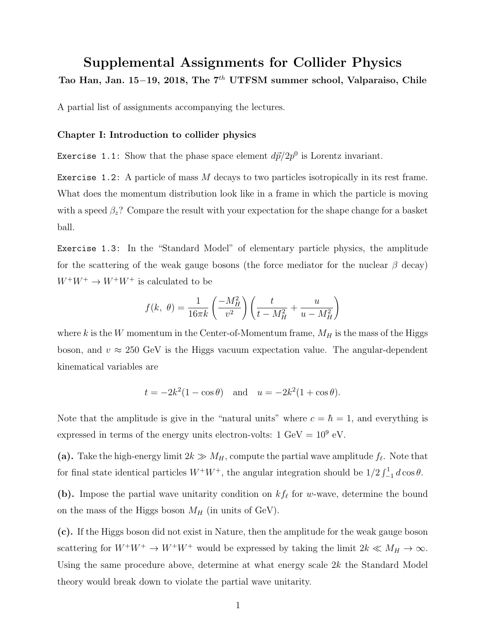## Supplemental Assignments for Collider Physics

Tao Han, Jan. 15-19, 2018, The 7<sup>th</sup> UTFSM summer school, Valparaiso, Chile

A partial list of assignments accompanying the lectures.

## Chapter I: Introduction to collider physics

Exercise 1.1: Show that the phase space element  $d\vec{p}/2p^0$  is Lorentz invariant.

Exercise 1.2: A particle of mass *M* decays to two particles isotropically in its rest frame. What does the momentum distribution look like in a frame in which the particle is moving with a speed  $\beta_z$ ? Compare the result with your expectation for the shape change for a basket ball.

Exercise 1.3: In the "Standard Model" of elementary particle physics, the amplitude for the scattering of the weak gauge bosons (the force mediator for the nuclear  $\beta$  decay)  $W^+W^+\rightarrow W^+W^+$  is calculated to be

$$
f(k, \theta) = \frac{1}{16\pi k} \left(\frac{-M_H^2}{v^2}\right) \left(\frac{t}{t - M_H^2} + \frac{u}{u - M_H^2}\right)
$$

where  $k$  is the  $W$  momentum in the Center-of-Momentum frame,  $M_H$  is the mass of the Higgs boson, and  $v \approx 250 \text{ GeV}$  is the Higgs vacuum expectation value. The angular-dependent kinematical variables are

$$
t = -2k^2(1 - \cos \theta)
$$
 and  $u = -2k^2(1 + \cos \theta)$ .

Note that the amplitude is give in the "natural units" where  $c = \hbar = 1$ , and everything is expressed in terms of the energy units electron-volts:  $1 \text{ GeV} = 10^9 \text{ eV}$ .

(a). Take the high-energy limit  $2k \gg M_H$ , compute the partial wave amplitude  $f_\ell$ . Note that for final state identical particles  $W^+W^+$ , the angular integration should be  $1/2 \int_{-1}^{1} d\cos\theta$ .

(b). Impose the partial wave unitarity condition on  $kf_\ell$  for *w*-wave, determine the bound on the mass of the Higgs boson  $M_H$  (in units of GeV).

(c). If the Higgs boson did not exist in Nature, then the amplitude for the weak gauge boson scattering for  $W^+W^+ \to W^+W^+$  would be expressed by taking the limit  $2k \ll M_H \to \infty$ . Using the same procedure above, determine at what energy scale 2*k* the Standard Model theory would break down to violate the partial wave unitarity.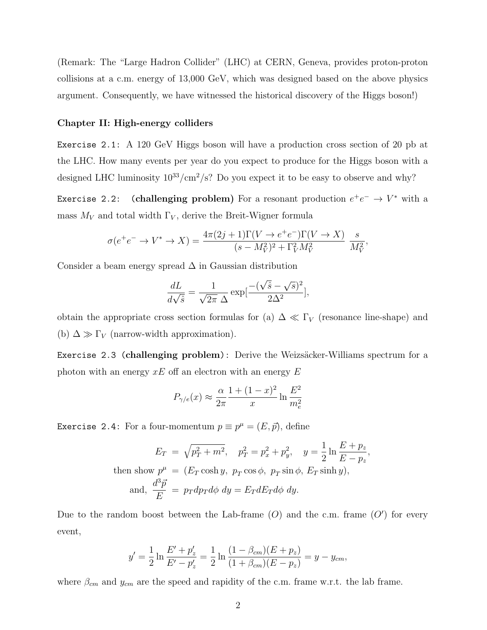(Remark: The "Large Hadron Collider" (LHC) at CERN, Geneva, provides proton-proton collisions at a c.m. energy of 13,000 GeV, which was designed based on the above physics argument. Consequently, we have witnessed the historical discovery of the Higgs boson!)

## Chapter II: High-energy colliders

Exercise 2.1: A 120 GeV Higgs boson will have a production cross section of 20 pb at the LHC. How many events per year do you expect to produce for the Higgs boson with a designed LHC luminosity  $10^{33}/\text{cm}^2/\text{s}$ ? Do you expect it to be easy to observe and why?

Exercise 2.2: (challenging problem) For a resonant production  $e^+e^- \to V^*$  with a mass  $M_V$  and total width  $\Gamma_V$ , derive the Breit-Wigner formula

$$
\sigma(e^+e^- \to V^* \to X) = \frac{4\pi(2j+1)\Gamma(V \to e^+e^-)\Gamma(V \to X)}{(s-M_V^2)^2 + \Gamma_V^2 M_V^2} \frac{s}{M_V^2},
$$

Consider a beam energy spread  $\Delta$  in Gaussian distribution

$$
\frac{dL}{d\sqrt{\hat{s}}} = \frac{1}{\sqrt{2\pi} \Delta} \exp\left[\frac{-(\sqrt{\hat{s}} - \sqrt{s})^2}{2\Delta^2}\right],
$$

obtain the appropriate cross section formulas for (a)  $\Delta \ll \Gamma_V$  (resonance line-shape) and (b)  $\Delta \gg \Gamma_V$  (narrow-width approximation).

Exercise 2.3 (challenging problem): Derive the Weizsäcker-Williams spectrum for a photon with an energy  $xE$  off an electron with an energy  $E$ 

$$
P_{\gamma/e}(x) \approx \frac{\alpha}{2\pi} \frac{1 + (1 - x)^2}{x} \ln \frac{E^2}{m_e^2}
$$

Exercise 2.4: For a four-momentum  $p \equiv p^{\mu} = (E, \vec{p})$ , define

$$
E_T = \sqrt{p_T^2 + m^2}, \quad p_T^2 = p_x^2 + p_y^2, \quad y = \frac{1}{2} \ln \frac{E + p_z}{E - p_z},
$$
  
then show  $p^{\mu} = (E_T \cosh y, p_T \cos \phi, p_T \sin \phi, E_T \sinh y),$   
and,  $\frac{d^3 \vec{p}}{E} = p_T dp_T d\phi \, dy = E_T dE_T d\phi \, dy.$ 

Due to the random boost between the Lab-frame  $(O)$  and the c.m. frame  $(O')$  for every event,

$$
y' = \frac{1}{2} \ln \frac{E' + p'_z}{E' - p'_z} = \frac{1}{2} \ln \frac{(1 - \beta_{cm})(E + p_z)}{(1 + \beta_{cm})(E - p_z)} = y - y_{cm},
$$

where  $\beta_{cm}$  and  $y_{cm}$  are the speed and rapidity of the c.m. frame w.r.t. the lab frame.